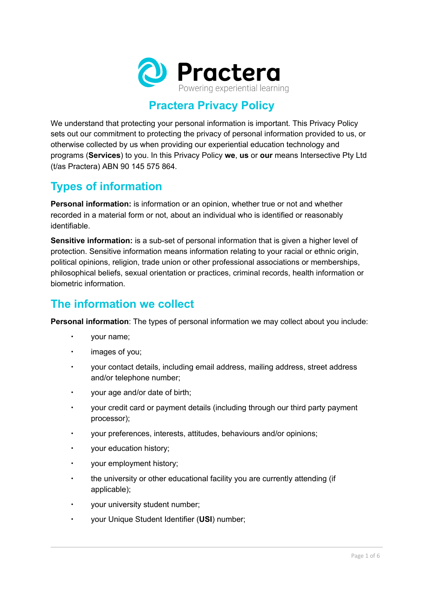

# **Practera Privacy Policy**

We understand that protecting your personal information is important. This Privacy Policy sets out our commitment to protecting the privacy of personal information provided to us, or otherwise collected by us when providing our experiential education technology and programs (**Services**) to you. In this Privacy Policy **we**, **us** or **our** means Intersective Pty Ltd (t/as Practera) ABN 90 145 575 864.

## **Types of information**

**Personal information:** is information or an opinion, whether true or not and whether recorded in a material form or not, about an individual who is identified or reasonably identifiable.

**Sensitive information:** is a sub-set of personal information that is given a higher level of protection. Sensitive information means information relating to your racial or ethnic origin, political opinions, religion, trade union or other professional associations or memberships, philosophical beliefs, sexual orientation or practices, criminal records, health information or biometric information.

### **The information we collect**

**Personal information**: The types of personal information we may collect about you include:

- your name;
- images of you;
- your contact details, including email address, mailing address, street address and/or telephone number;
- your age and/or date of birth;
- your credit card or payment details (including through our third party payment processor);
- your preferences, interests, attitudes, behaviours and/or opinions;
- your education history;
- your employment history;
- the university or other educational facility you are currently attending (if applicable);
- $\cdot$  vour university student number;
- your Unique Student Identifier (**USI**) number;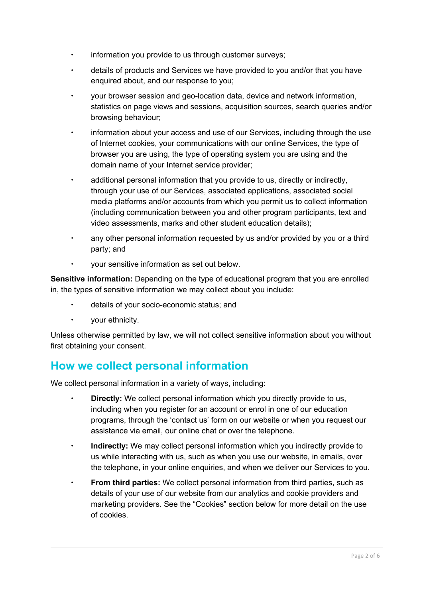- information you provide to us through customer surveys;
- details of products and Services we have provided to you and/or that you have enquired about, and our response to you;
- your browser session and geo-location data, device and network information, statistics on page views and sessions, acquisition sources, search queries and/or browsing behaviour;
- information about your access and use of our Services, including through the use of Internet cookies, your communications with our online Services, the type of browser you are using, the type of operating system you are using and the domain name of your Internet service provider;
- additional personal information that you provide to us, directly or indirectly, through your use of our Services, associated applications, associated social media platforms and/or accounts from which you permit us to collect information (including communication between you and other program participants, text and video assessments, marks and other student education details);
- any other personal information requested by us and/or provided by you or a third party; and
- your sensitive information as set out below.

**Sensitive information:** Depending on the type of educational program that you are enrolled in, the types of sensitive information we may collect about you include:

- details of your socio-economic status; and
- your ethnicity.

Unless otherwise permitted by law, we will not collect sensitive information about you without first obtaining your consent.

#### **How we collect personal information**

We collect personal information in a variety of ways, including:

- **Directly:** We collect personal information which you directly provide to us, including when you register for an account or enrol in one of our education programs, through the 'contact us' form on our website or when you request our assistance via email, our online chat or over the telephone.
- **Indirectly:** We may collect personal information which you indirectly provide to us while interacting with us, such as when you use our website, in emails, over the telephone, in your online enquiries, and when we deliver our Services to you.
- **From third parties:** We collect personal information from third parties, such as details of your use of our website from our analytics and cookie providers and marketing providers. See the "Cookies" section below for more detail on the use of cookies.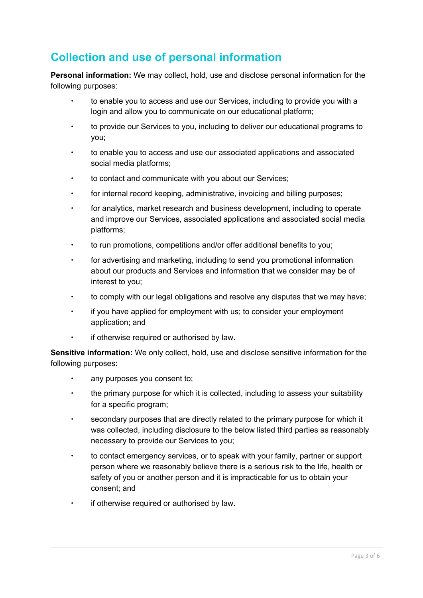# **Collection and use of personal information**

**Personal information:** We may collect, hold, use and disclose personal information for the following purposes:

- to enable you to access and use our Services, including to provide you with a login and allow you to communicate on our educational platform;
- to provide our Services to you, including to deliver our educational programs to you;
- to enable you to access and use our associated applications and associated social media platforms;
- to contact and communicate with you about our Services;
- for internal record keeping, administrative, invoicing and billing purposes;
- for analytics, market research and business development, including to operate and improve our Services, associated applications and associated social media platforms;
- to run promotions, competitions and/or offer additional benefits to you;
- for advertising and marketing, including to send you promotional information about our products and Services and information that we consider may be of interest to you;
- to comply with our legal obligations and resolve any disputes that we may have;
- if you have applied for employment with us; to consider your employment application; and
- **if otherwise required or authorised by law.**

**Sensitive information:** We only collect, hold, use and disclose sensitive information for the following purposes:

- any purposes you consent to;
- the primary purpose for which it is collected, including to assess your suitability for a specific program;
- secondary purposes that are directly related to the primary purpose for which it was collected, including disclosure to the below listed third parties as reasonably necessary to provide our Services to you;
- to contact emergency services, or to speak with your family, partner or support person where we reasonably believe there is a serious risk to the life, health or safety of you or another person and it is impracticable for us to obtain your consent; and
- if otherwise required or authorised by law.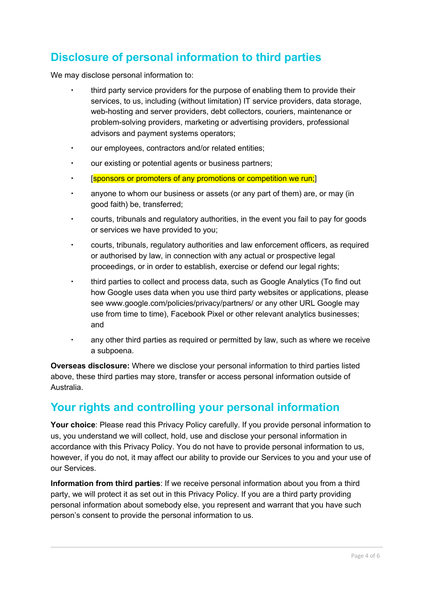## **Disclosure of personal information to third parties**

We may disclose personal information to:

- third party service providers for the purpose of enabling them to provide their services, to us, including (without limitation) IT service providers, data storage, web-hosting and server providers, debt collectors, couriers, maintenance or problem-solving providers, marketing or advertising providers, professional advisors and payment systems operators;
- our employees, contractors and/or related entities;
- our existing or potential agents or business partners;
- [sponsors or promoters of any promotions or competition we run;]
- anyone to whom our business or assets (or any part of them) are, or may (in good faith) be, transferred;
- courts, tribunals and regulatory authorities, in the event you fail to pay for goods or services we have provided to you;
- courts, tribunals, regulatory authorities and law enforcement officers, as required or authorised by law, in connection with any actual or prospective legal proceedings, or in order to establish, exercise or defend our legal rights;
- third parties to collect and process data, such as Google Analytics (To find out how Google uses data when you use third party websites or applications, please see www.google.com/policies/privacy/partners/ or any other URL Google may use from time to time), Facebook Pixel or other relevant analytics businesses; and
- any other third parties as required or permitted by law, such as where we receive a subpoena.

**Overseas disclosure:** Where we disclose your personal information to third parties listed above, these third parties may store, transfer or access personal information outside of Australia.

# **Your rights and controlling your personal information**

**Your choice**: Please read this Privacy Policy carefully. If you provide personal information to us, you understand we will collect, hold, use and disclose your personal information in accordance with this Privacy Policy. You do not have to provide personal information to us, however, if you do not, it may affect our ability to provide our Services to you and your use of our Services.

**Information from third parties**: If we receive personal information about you from a third party, we will protect it as set out in this Privacy Policy. If you are a third party providing personal information about somebody else, you represent and warrant that you have such person's consent to provide the personal information to us.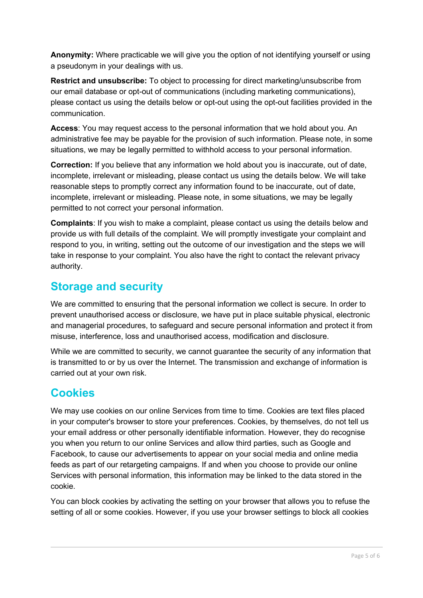**Anonymity:** Where practicable we will give you the option of not identifying yourself or using a pseudonym in your dealings with us.

**Restrict and unsubscribe:** To object to processing for direct marketing/unsubscribe from our email database or opt-out of communications (including marketing communications), please contact us using the details below or opt-out using the opt-out facilities provided in the communication.

**Access**: You may request access to the personal information that we hold about you. An administrative fee may be payable for the provision of such information. Please note, in some situations, we may be legally permitted to withhold access to your personal information.

**Correction:** If you believe that any information we hold about you is inaccurate, out of date, incomplete, irrelevant or misleading, please contact us using the details below. We will take reasonable steps to promptly correct any information found to be inaccurate, out of date, incomplete, irrelevant or misleading. Please note, in some situations, we may be legally permitted to not correct your personal information.

**Complaints**: If you wish to make a complaint, please contact us using the details below and provide us with full details of the complaint. We will promptly investigate your complaint and respond to you, in writing, setting out the outcome of our investigation and the steps we will take in response to your complaint. You also have the right to contact the relevant privacy authority.

#### **Storage and security**

We are committed to ensuring that the personal information we collect is secure. In order to prevent unauthorised access or disclosure, we have put in place suitable physical, electronic and managerial procedures, to safeguard and secure personal information and protect it from misuse, interference, loss and unauthorised access, modification and disclosure.

While we are committed to security, we cannot guarantee the security of any information that is transmitted to or by us over the Internet. The transmission and exchange of information is carried out at your own risk.

## **Cookies**

We may use cookies on our online Services from time to time. Cookies are text files placed in your computer's browser to store your preferences. Cookies, by themselves, do not tell us your email address or other personally identifiable information. However, they do recognise you when you return to our online Services and allow third parties, such as Google and Facebook, to cause our advertisements to appear on your social media and online media feeds as part of our retargeting campaigns. If and when you choose to provide our online Services with personal information, this information may be linked to the data stored in the cookie.

You can block cookies by activating the setting on your browser that allows you to refuse the setting of all or some cookies. However, if you use your browser settings to block all cookies